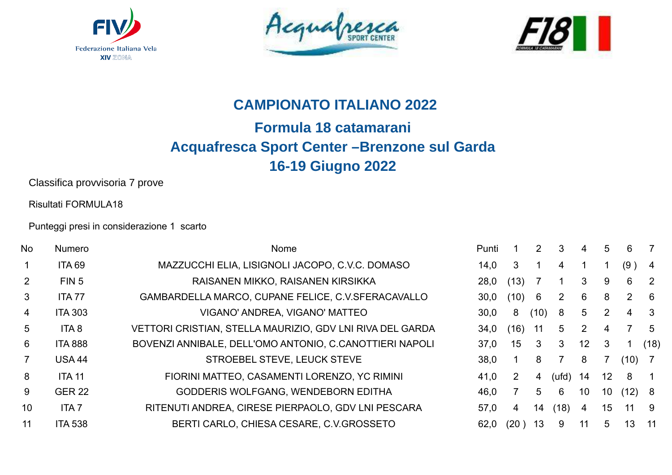





## **CAMPIONATO ITALIANO 2022**

## **Formula 18 catamarani Acquafresca Sport Center –Brenzone sul Garda 16-19 Giugno 2022**

Classifica provvisoria 7 prove

Risultati FORMULA18

Punteggi presi in considerazione 1 scarto

| <b>No</b>      | <b>Numero</b>    | Nome                                                      | Punti |      | $\mathbf{2}^{\prime}$ | 3                         | 4               | 5               | 6              |                |
|----------------|------------------|-----------------------------------------------------------|-------|------|-----------------------|---------------------------|-----------------|-----------------|----------------|----------------|
|                | <b>ITA 69</b>    | MAZZUCCHI ELIA, LISIGNOLI JACOPO, C.V.C. DOMASO           | 14,0  | 3    |                       | 4                         |                 |                 | (9)            | -4             |
| 2              | FIN 5            | RAISANEN MIKKO, RAISANEN KIRSIKKA                         | 28,0  | (13) |                       |                           | 3               | 9               | 6              | $\overline{2}$ |
| $\mathbf{3}$   | <b>ITA 77</b>    | GAMBARDELLA MARCO, CUPANE FELICE, C.V.SFERACAVALLO        | 30,0  | (10) | 6                     | $\mathbf{2}^{\mathsf{I}}$ | 6               | 8               | $\overline{2}$ | - 6            |
| 4              | <b>ITA 303</b>   | VIGANO' ANDREA, VIGANO' MATTEO                            | 30,0  | 8    | (10)                  | 8                         | 5               | $\overline{2}$  | 4              | -3             |
| $5^{\circ}$    | ITA <sub>8</sub> | VETTORI CRISTIAN, STELLA MAURIZIO, GDV LNI RIVA DEL GARDA | 34,0  | (16) | 11                    | 5                         | 2               | 4               |                | -5             |
| 6              | <b>ITA 888</b>   | BOVENZI ANNIBALE, DELL'OMO ANTONIO, C.CANOTTIERI NAPOLI   | 37,0  | 15   | 3                     | 3                         | 12 <sup>°</sup> | 3               |                | (18)           |
| $\overline{7}$ | <b>USA 44</b>    | STROEBEL STEVE, LEUCK STEVE                               | 38,0  |      | 8                     | 7                         | 8               |                 | (10)           |                |
| 8              | <b>ITA 11</b>    | FIORINI MATTEO, CASAMENTI LORENZO, YC RIMINI              | 41,0  | 2    | 4                     | (ufd)                     | 14              | 12 <sup>°</sup> | 8              |                |
| 9              | <b>GER 22</b>    | GODDERIS WOLFGANG, WENDEBORN EDITHA                       | 46,0  |      | 5                     | 6                         | 10              | 10              | (12)           | 8 <sup>8</sup> |
| 10             | <b>ITA7</b>      | RITENUTI ANDREA, CIRESE PIERPAOLO, GDV LNI PESCARA        | 57,0  | 4    | 14                    | (18)                      | 4               | 15              | 11             | - 9            |
| 11             | <b>ITA 538</b>   | BERTI CARLO, CHIESA CESARE, C.V.GROSSETO                  | 62,0  | (20) | 13                    | 9                         | 11              | 5               | 13             | -11            |